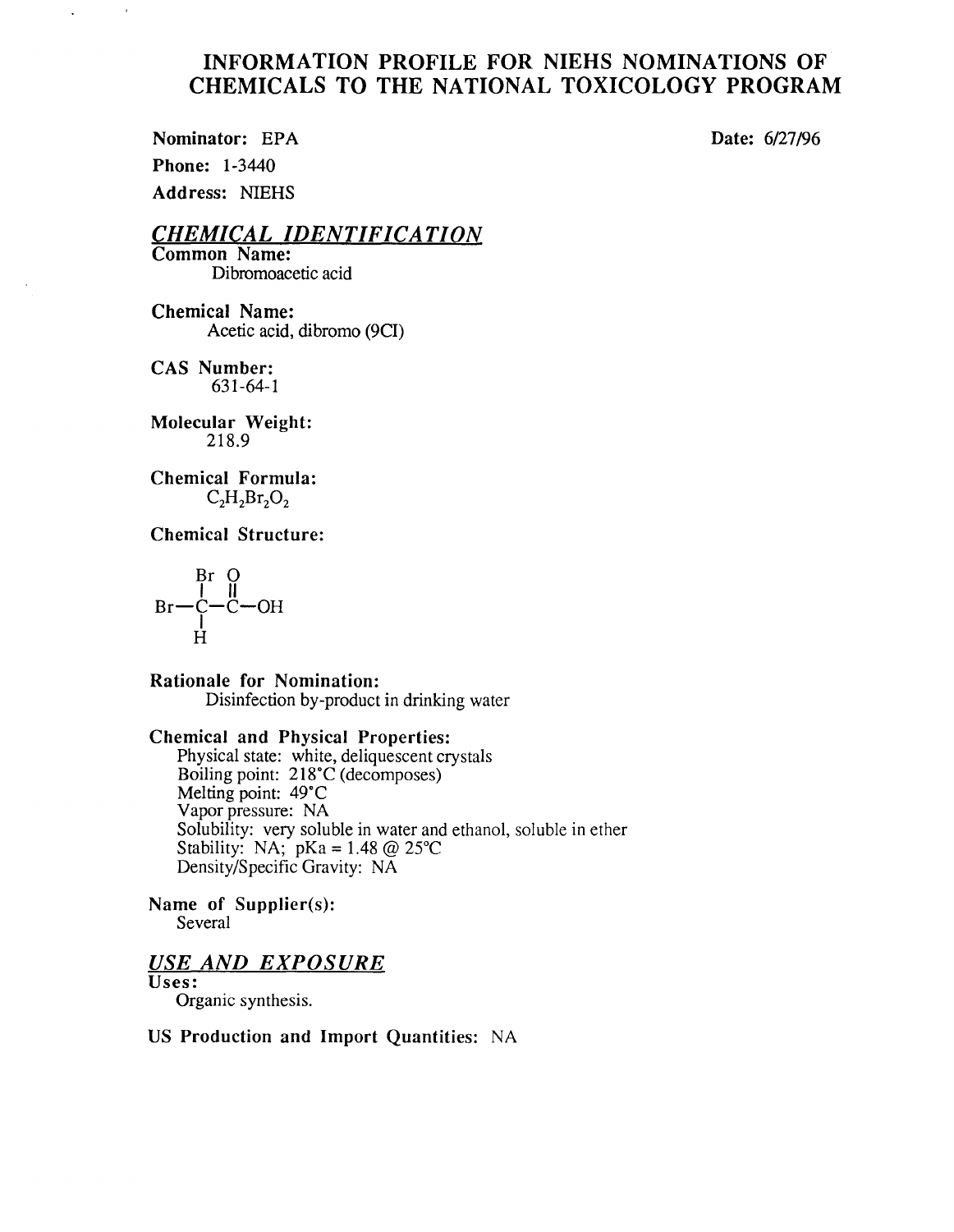# INFORMATION PROFILE FOR NIEHS NOMINATIONS OF CHEMICALS TO THE NATIONAL TOXICOLOGY PROGRAM

Nominator: EPA Date: 6/27/96 Phone: 1-3440 Address: NIEHS

 $\alpha$ 

 $\bar{\mathcal{L}}$ 

*CHEMICAL IDENTIFICATION* 

Common Name: Dibromoacetic acid

Chemical Name: Acetic acid, dibromo (9CI)

CAS Number: 631-64-1

Molecular Weight: 218.9

Chemical Formula:  $C_2H_2Br_2O_2$ 

Chemical Structure:

$$
\begin{array}{c}\n\text{Br} \quad \text{O} \\
\mid & \mid \\
\text{Br} - \text{C} - \text{C} - \text{OH} \\
\mid & \text{H}\n\end{array}
$$

Rationale for Nomination: Disinfection by-product in drinking water

### Chemical and Physical Properties:

Physical state: white, deliquescent crystals Boiling point: 218·c (decomposes) Melting point: 49°C Vapor pressure: NA Solubility: very soluble in water and ethanol, soluble in ether Stability: NA;  $pKa = 1.48 \text{ @ } 25^{\circ}C$ Density/Specific Gravity: NA

Name of Supplier(s): Several

# *USE AND EXPOSURE*

Uses:

Organic synthesis.

### US Production and Import Quantities: NA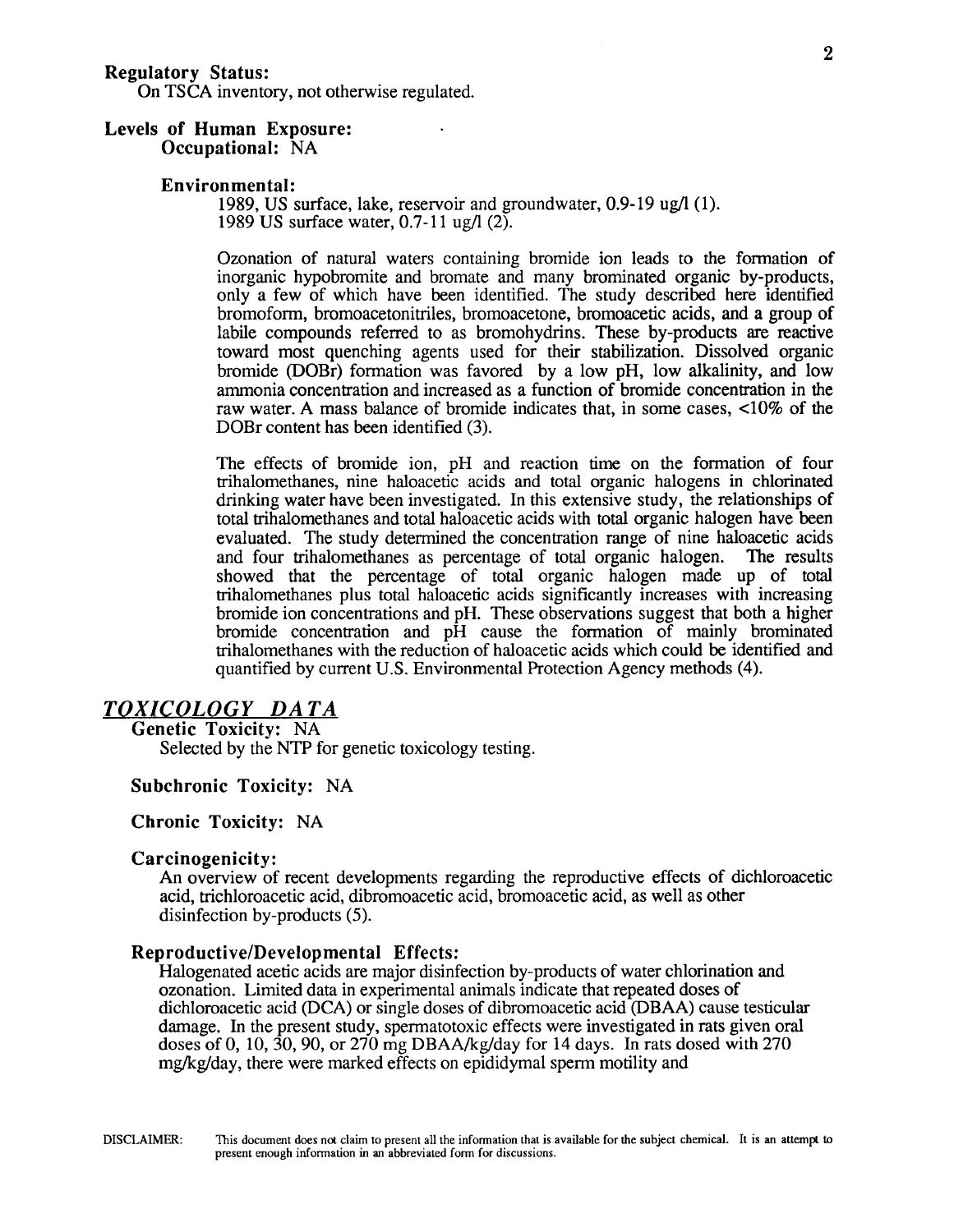On TSCA inventory, not otherwise regulated.

# Levels of Human Exposure:

Occupational: NA

#### Environmental:

1989, US surface, lake, reservoir and groundwater, 0.9-19 ug/1 (1). 1989 US surface water, 0.7-11 ug/1 (2).

Ozonation of natural waters containing bromide ion leads to the formation of inorganic hypobromite and bromate and many brominated organic by-products, only a few of which have been identified. The study described here identified bromoform, bromoacetonitriles, bromoacetone, bromoacetic acids, and a group of labile compounds referred to as bromohydrins. These by-products are reactive toward most quenching agents used for their stabilization. Dissolved organic bromide (DOBr) formation was favored by a low pH, low alkalinity, and low ammonia concentration and increased as a function of bromide concentration in the raw water. A mass balance of bromide indicates that, in some cases, <10% of the DOBr content has been identified (3).

The effects of bromide ion, pH and reaction time on the formation of four trihalomethanes, nine haloacetic acids and total organic halogens in chlorinated drinking water have been investigated. In this extensive study, the relationships of total trihalomethanes and total haloacetic acids with total organic halogen have been evaluated. The study determined the concentration range of nine haloacetic acids and four trihalomethanes as percentage of total organic halogen. The results showed that the percentage of total organic halogen made up of total trihalomethanes plus total haloacetic acids significantly increases with increasing bromide ion concentrations and pH. These observations suggest that both a higher bromide concentration and pH cause the formation of mainly brominated trihalomethanes with the reduction of haloacetic acids which could be identified and quantified by current U.S. Environmental Protection Agency methods (4).

## *TOXICOLOGY DATA*

Genetic Toxicity: NA Selected by the NTP for genetic toxicology testing.

#### Subchronic Toxicity: NA

#### Chronic Toxicity: NA

#### Carcinogenicity:

An overview of recent developments regarding the reproductive effects of dichloroacetic acid, trichloroacetic acid, dibromoacetic acid, bromoacetic acid, as well as other disinfection by-products (5).

#### Reproductive/Developmental Effects:

Halogenated acetic acids are major disinfection by-products of water chlorination and ozonation. Limited data in experimental animals indicate that repeated doses of dichloroacetic acid (DCA) or single doses of dibromoacetic acid (DBAA) cause testicular damage. In the present study, spermatotoxic effects were investigated in rats given oral doses of 0, 10, 30, 90, or 270 mg DBAA/kg/day for 14 days. In rats dosed with 270 mg/kg/day, there were marked effects on epididymal sperm motility and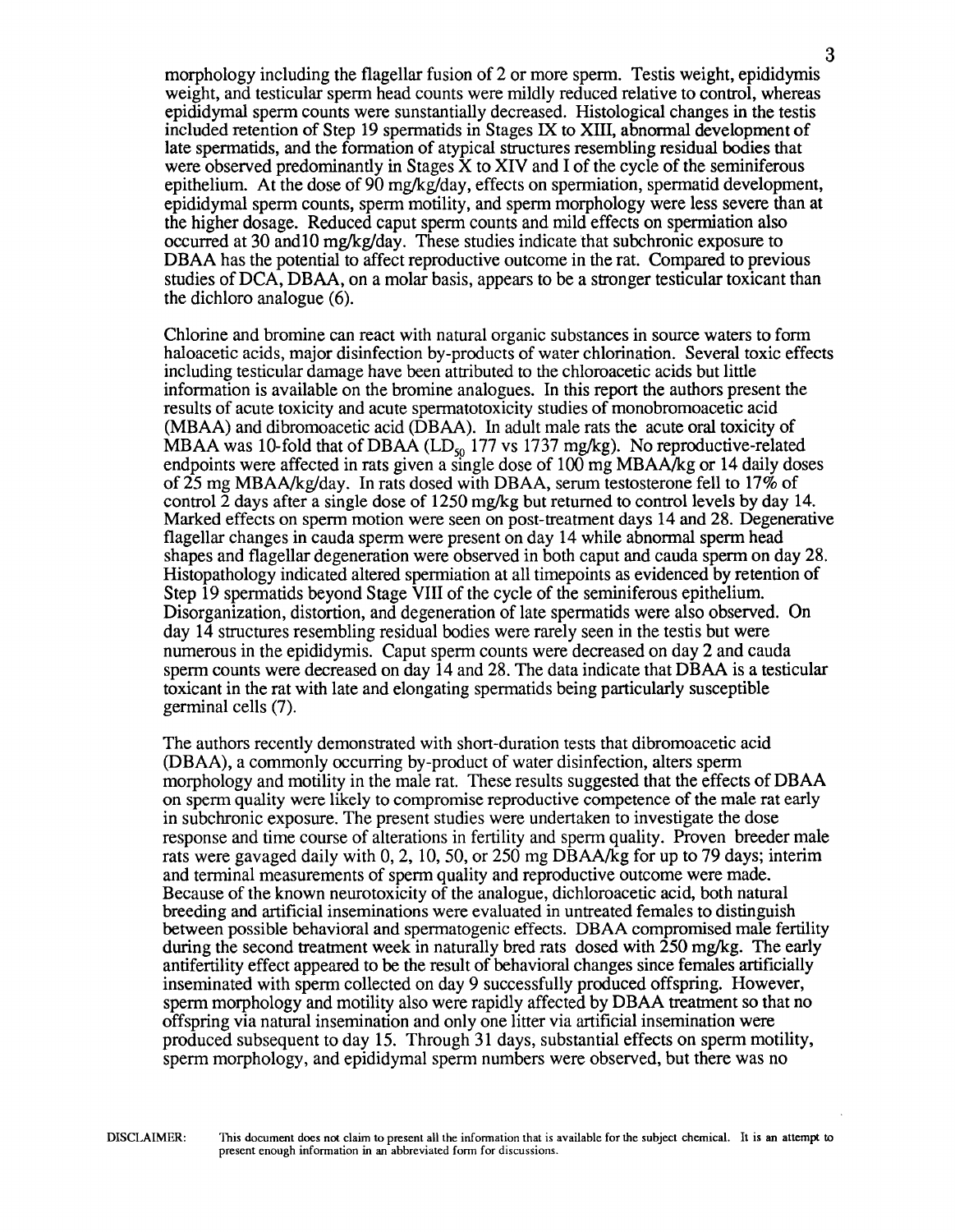morphology including the flagellar fusion of 2 or more sperm. Testis weight, epididymis weight, and testicular sperm head counts were mildly reduced relative to control, whereas epididymal sperm counts were sunstantially decreased. Histological changes in the testis included retention of Step 19 spermatids in Stages IX to XIII, abnormal development of late spermatids, and the formation of atypical structures resembling residual bodies that were observed predominantly in Stages  $\hat{X}$  to XIV and I of the cycle of the seminiferous epithelium. At the dose of 90 mg/kg/day, effects on spermiation, spermatid development, epididymal sperm counts, sperm motility, and sperm morphology were less severe than at the higher dosage. Reduced caput sperm counts and mild effects on spermiation also occurred at 30 and 10 mg/kg/day. These studies indicate that subchronic exposure to DBAA has the potential to affect reproductive outcome in the rat. Compared to previous studies of DCA, DBAA, on a molar basis, appears to be a stronger testicular toxicant than the dichloro analogue (6).

Chlorine and bromine can react with natural organic substances in source waters to form haloacetic acids, major disinfection by-products of water chlorination. Several toxic effects including testicular damage have been attributed to the chloroacetic acids but little information is available on the bromine analogues. In this report the authors present the results of acute toxicity and acute spermatotoxicity studies of monobromoacetic acid (MBAA) and dibromoacetic acid (DBAA). In adult male rats the acute oral toxicity of MBAA was 10-fold that of DBAA ( $LD_{50}$  177 vs 1737 mg/kg). No reproductive-related endpoints were affected in rats given a single dose of 100 mg MBAA/kg or 14 daily doses of25 mg MBAA/kg/day. In rats dosed with DBAA, serum testosterone fell to 17% of control  $\overline{2}$  days after a single dose of 1250 mg/kg but returned to control levels by day 14. Marked effects on sperm motion were seen on post-treatment days 14 and 28. Degenemtive flagellar changes in cauda sperm were present on day 14 while abnormal sperm head shapes and flagellar degeneration were observed in both caput and cauda sperm on day 28. Histopathology indicated altered spermiation at all timepoints as evidenced by retention of Step 19 spermatids beyond Stage VIII of the cycle of the seminiferous epithelium. Disorganization, distortion, and degeneration of late spermatids were also observed. On day 14 structures resembling residual bodies were rarely seen in the testis but were numerous in the epididymis. Caput sperm counts were decreased on day 2 and cauda sperm counts were decreased on day 14 and 28. The data indicate that DBAA is a testicular toxicant in the rat with late and elongating spermatids being particularly susceptible germinal cells (7).

The authors recently demonstrated with short-duration tests that dibromoacetic acid (DBAA), a commonly occurring by-product of water disinfection, alters sperm morphology and motility in the male rat. These results suggested that the effects of DBAA on sperm quality were likely to compromise reproductive competence of the male rat early in subchronic exposure. The present studies were undertaken to investigate the dose response and time course of alterations in fertility and sperm quality. Proven breeder male rats were gavaged daily with 0, 2, 10, 50, or 250 mg DBAA/kg for up to 79 days; interim and terminal measurements of sperm quality and reproductive outcome were made. Because of the known neurotoxicity of the analogue, dichloroacetic acid, both natural breeding and artificial inseminations were evaluated in untreated females to distinguish between possible behavioral and spermatogenic effects. DBAA compromised male fertility during the second treatment week in naturally bred rats dosed with  $\overline{250}$  mg/kg. The early antifertility effect appeared to be the result of behavioral changes since females artificially inseminated with sperm collected on day 9 successfully produced offspring. However, sperm morphology and motility also were rapidly affected by DBAA treatment so that no offspring via natural insemination and only one litter via artificial insemination were produced subsequent to day 15. Through 31 days, substantial effects on sperm motility, sperm morphology, and epididymal sperm numbers were observed, but there was no

3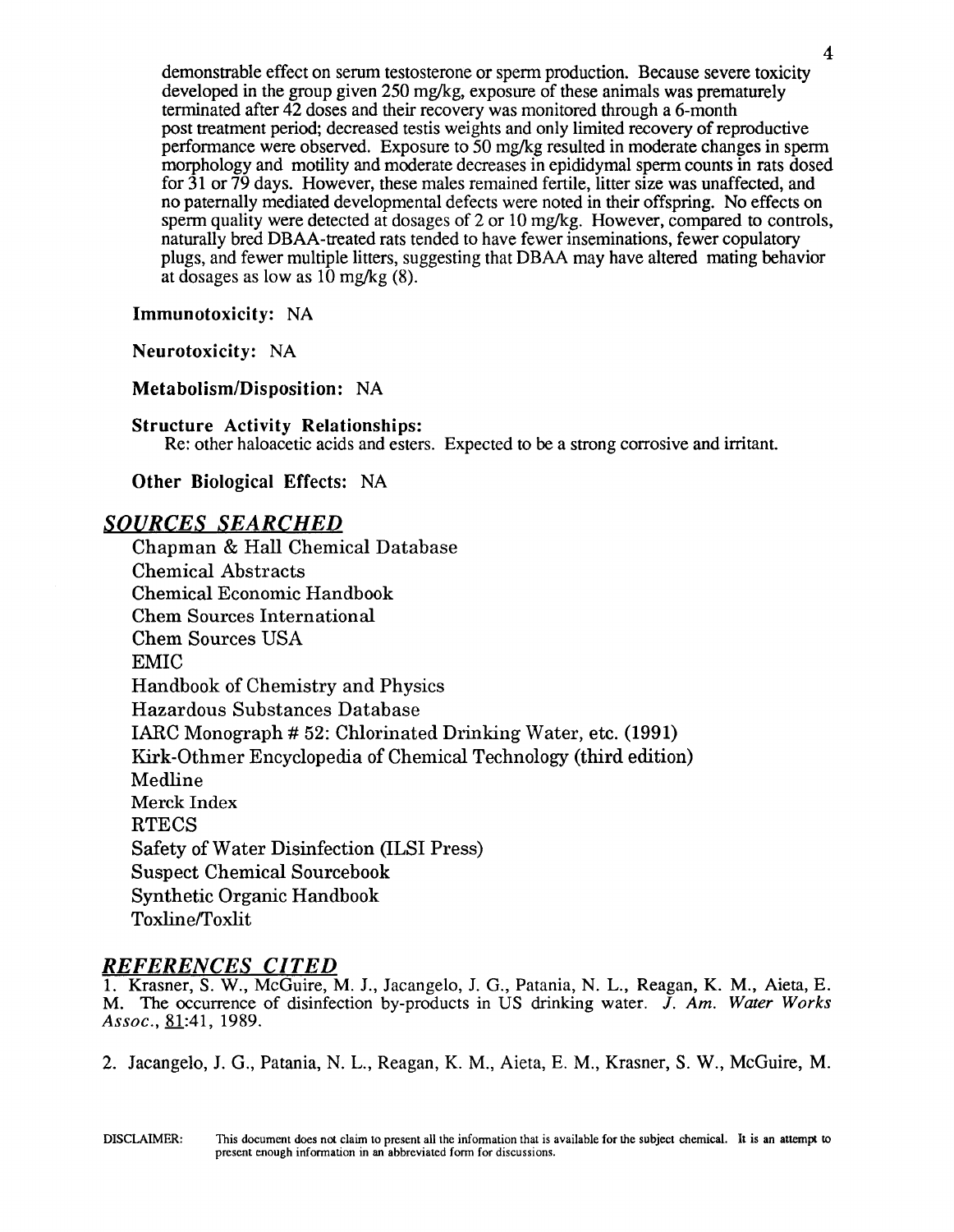demonstrable effect on serum testosterone or sperm production. Because severe toxicity developed in the group given  $250 \text{ mg/kg}$ , exposure of these animals was prematurely terminated after 42 doses and their recovery was monitored through a 6-month post treatment period; decreased testis weights and only limited recovery of reproductive performance were observed. Exposure to 50 mg/kg resulted in moderate changes in sperm morphology and motility and moderate decreases in epididymal sperm counts in rats dosed for 31 or 79 days. However, these males remained fertile, litter size was unaffected, and no paternally mediated developmental defects were noted in their offspring. No effects on sperm quality were detected at dosages of 2 or 10 mg/kg. However, compared to controls, naturally bred DBAA-treated rats tended to have fewer inseminations, fewer copulatory plugs, and fewer multiple litters, suggesting that DBAA may have altered mating behavior at dosages as low as  $10 \text{ mg/kg}$  (8).

4

## Immunotoxicity: NA

Neurotoxicity: NA

Metabolism/Disposition: NA

#### Structure Activity Relationships:

Re: other haloacetic acids and esters. Expected to be a strong corrosive and irritant.

Other Biological Effects: NA

## *SOURCES SEARCHED*

Chapman & Hall Chemical Database Chemical Abstracts Chemical Economic Handbook Chern Sources International Chern Sources USA EMIC Handbook of Chemistry and Physics Hazardous Substances Database IARC Monograph # 52: Chlorinated Drinking Water, etc. (1991) Kirk-Othmer Encyclopedia of Chemical Technology (third edition) Medline Merck Index **RTECS** Safety of Water Disinfection (ILSI Press) Suspect Chemical Sourcebook Synthetic Organic Handbook Toxline/Toxlit

## *REFERENCES CITED*

1. Krasner, S. W., McGuire, M. J., Jacangelo, J. G., Patania, N. L., Reagan, K. M., Aieta, E. M. The occurrence of disinfection by-products in US drinking water. J. *Am. Water Works Assoc.*, <u>81</u>:41, 1989.

2. Jacangelo, J. G., Patania, N. L., Reagan, K. M., Aieta, E. M., Krasner, S. W., McGuire, M.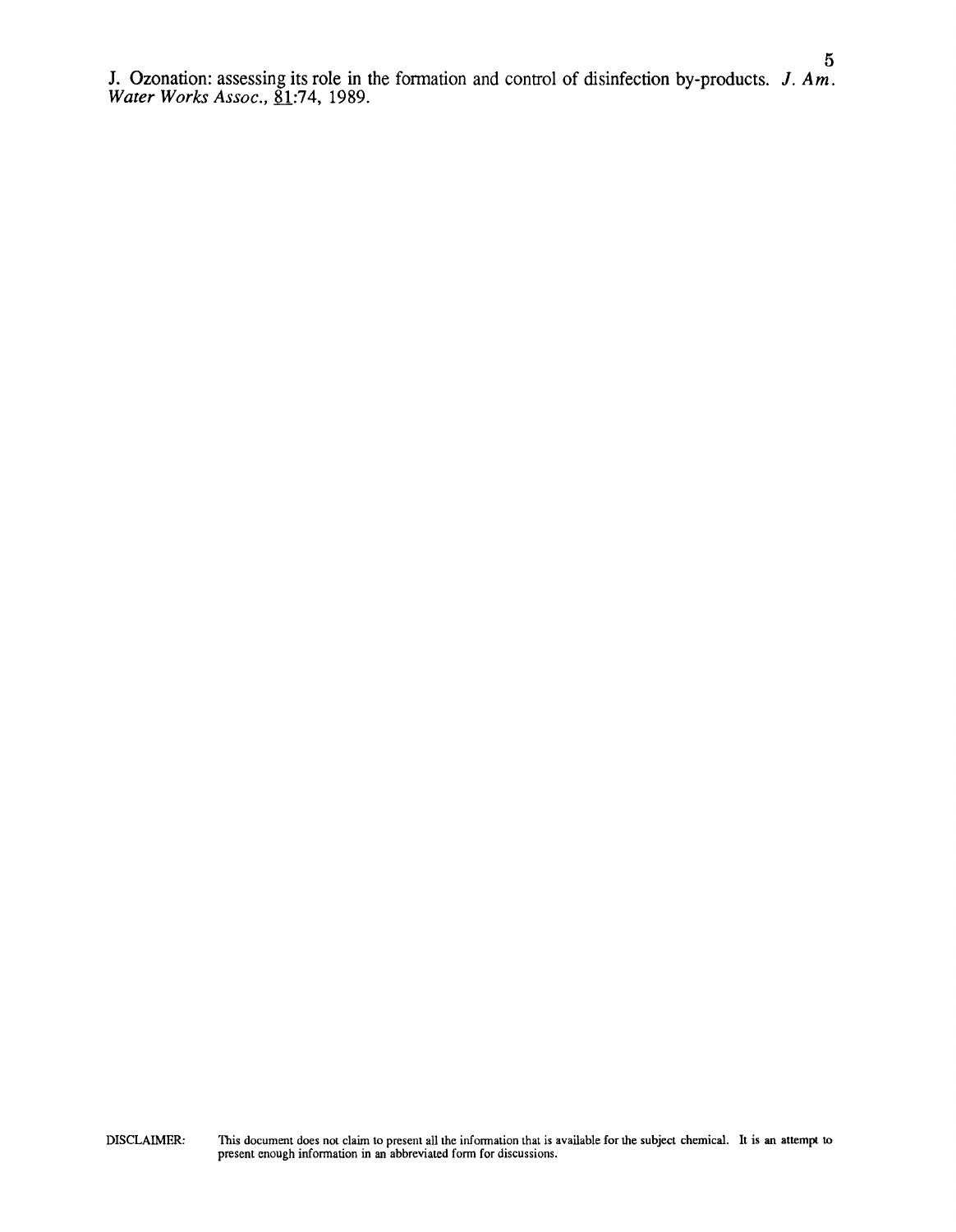J. Ozonation: assessing its role in the formation and control of disinfection by-products.  $J. Am.$ *Water Works Assoc.,* <u>81</u>:74, 1989.